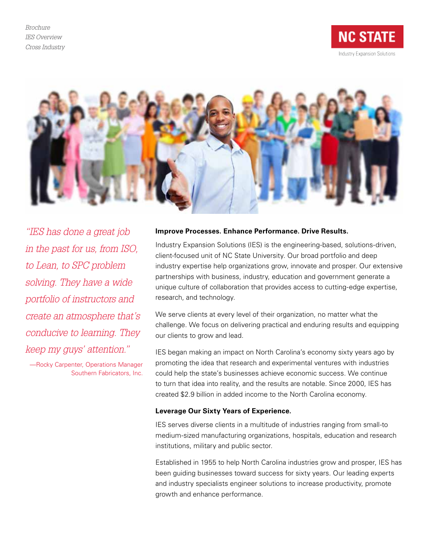*Brochure IES Overview Cross Industry*





*"IES has done a great job in the past for us, from ISO, to Lean, to SPC problem solving. They have a wide portfolio of instructors and create an atmosphere that's conducive to learning. They keep my guys' attention."*

—Rocky Carpenter, Operations Manager Southern Fabricators, Inc.

### **Improve Processes. Enhance Performance. Drive Results.**

Industry Expansion Solutions (IES) is the engineering-based, solutions-driven, client-focused unit of NC State University. Our broad portfolio and deep industry expertise help organizations grow, innovate and prosper. Our extensive partnerships with business, industry, education and government generate a unique culture of collaboration that provides access to cutting-edge expertise, research, and technology.

We serve clients at every level of their organization, no matter what the challenge. We focus on delivering practical and enduring results and equipping our clients to grow and lead.

IES began making an impact on North Carolina's economy sixty years ago by promoting the idea that research and experimental ventures with industries could help the state's businesses achieve economic success. We continue to turn that idea into reality, and the results are notable. Since 2000, IES has created \$2.9 billion in added income to the North Carolina economy.

## **Leverage Our Sixty Years of Experience.**

IES serves diverse clients in a multitude of industries ranging from small-to medium-sized manufacturing organizations, hospitals, education and research institutions, military and public sector.

Established in 1955 to help North Carolina industries grow and prosper, IES has been guiding businesses toward success for sixty years. Our leading experts and industry specialists engineer solutions to increase productivity, promote growth and enhance performance.